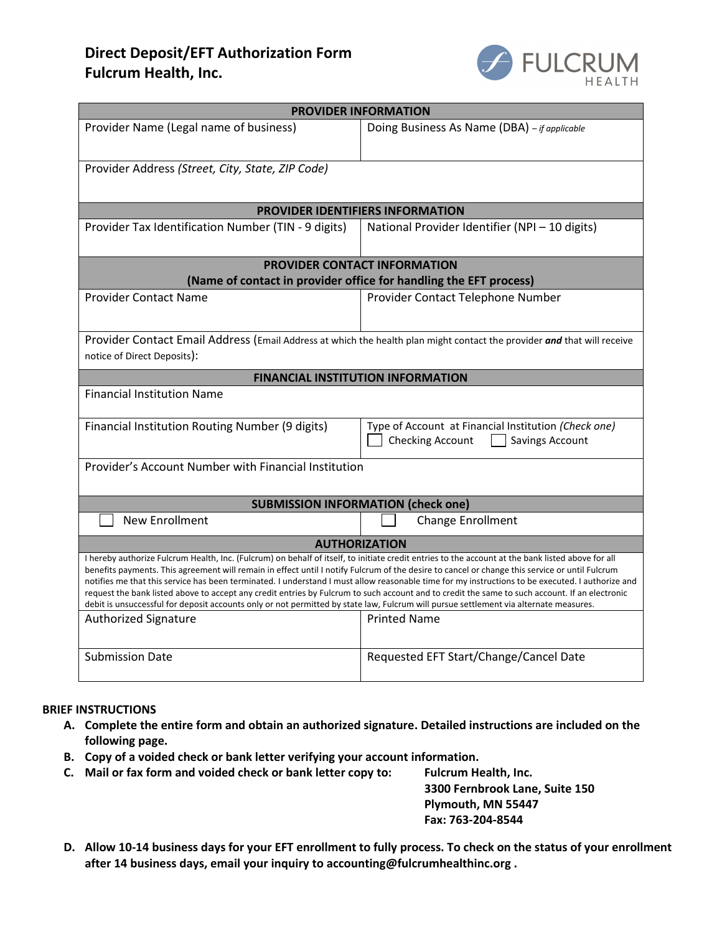# **Direct Deposit/EFT Authorization Form Fulcrum Health, Inc.**



| <b>PROVIDER INFORMATION</b>                                                                                                                                                                                                                                                                        |                                                                                             |
|----------------------------------------------------------------------------------------------------------------------------------------------------------------------------------------------------------------------------------------------------------------------------------------------------|---------------------------------------------------------------------------------------------|
| Provider Name (Legal name of business)                                                                                                                                                                                                                                                             | Doing Business As Name (DBA) - if applicable                                                |
|                                                                                                                                                                                                                                                                                                    |                                                                                             |
| Provider Address (Street, City, State, ZIP Code)                                                                                                                                                                                                                                                   |                                                                                             |
|                                                                                                                                                                                                                                                                                                    |                                                                                             |
| <b>PROVIDER IDENTIFIERS INFORMATION</b>                                                                                                                                                                                                                                                            |                                                                                             |
| Provider Tax Identification Number (TIN - 9 digits)                                                                                                                                                                                                                                                | National Provider Identifier (NPI - 10 digits)                                              |
|                                                                                                                                                                                                                                                                                                    |                                                                                             |
| <b>PROVIDER CONTACT INFORMATION</b><br>(Name of contact in provider office for handling the EFT process)                                                                                                                                                                                           |                                                                                             |
|                                                                                                                                                                                                                                                                                                    |                                                                                             |
| <b>Provider Contact Name</b>                                                                                                                                                                                                                                                                       | Provider Contact Telephone Number                                                           |
|                                                                                                                                                                                                                                                                                                    |                                                                                             |
| Provider Contact Email Address (Email Address at which the health plan might contact the provider and that will receive                                                                                                                                                                            |                                                                                             |
| notice of Direct Deposits):                                                                                                                                                                                                                                                                        |                                                                                             |
| <b>FINANCIAL INSTITUTION INFORMATION</b>                                                                                                                                                                                                                                                           |                                                                                             |
| <b>Financial Institution Name</b>                                                                                                                                                                                                                                                                  |                                                                                             |
| Financial Institution Routing Number (9 digits)                                                                                                                                                                                                                                                    | Type of Account at Financial Institution (Check one)<br>Checking Account<br>Savings Account |
| Provider's Account Number with Financial Institution                                                                                                                                                                                                                                               |                                                                                             |
|                                                                                                                                                                                                                                                                                                    |                                                                                             |
| <b>SUBMISSION INFORMATION (check one)</b>                                                                                                                                                                                                                                                          |                                                                                             |
| <b>New Enrollment</b>                                                                                                                                                                                                                                                                              | Change Enrollment                                                                           |
| <b>AUTHORIZATION</b>                                                                                                                                                                                                                                                                               |                                                                                             |
| I hereby authorize Fulcrum Health, Inc. (Fulcrum) on behalf of itself, to initiate credit entries to the account at the bank listed above for all                                                                                                                                                  |                                                                                             |
| benefits payments. This agreement will remain in effect until I notify Fulcrum of the desire to cancel or change this service or until Fulcrum<br>notifies me that this service has been terminated. I understand I must allow reasonable time for my instructions to be executed. I authorize and |                                                                                             |
| request the bank listed above to accept any credit entries by Fulcrum to such account and to credit the same to such account. If an electronic                                                                                                                                                     |                                                                                             |
| debit is unsuccessful for deposit accounts only or not permitted by state law, Fulcrum will pursue settlement via alternate measures.                                                                                                                                                              |                                                                                             |
| <b>Authorized Signature</b>                                                                                                                                                                                                                                                                        | <b>Printed Name</b>                                                                         |
|                                                                                                                                                                                                                                                                                                    |                                                                                             |
| <b>Submission Date</b>                                                                                                                                                                                                                                                                             | Requested EFT Start/Change/Cancel Date                                                      |

### **BRIEF INSTRUCTIONS**

- **A. Complete the entire form and obtain an authorized signature. Detailed instructions are included on the following page.**
- **B. Copy of a voided check or bank letter verifying your account information.**
- **C. Mail or fax form and voided check or bank letter copy to: Fulcrum Health, Inc.**

**3300 Fernbrook Lane, Suite 150 Plymouth, MN 55447 Fax: 763-204-8544**

**D. Allow 10-14 business days for your EFT enrollment to fully process. To check on the status of your enrollment after 14 business days, email your inquiry to [accounting@fulcrumhealthinc.org](mailto:accounting@fulcrumhealthinc.org) .**